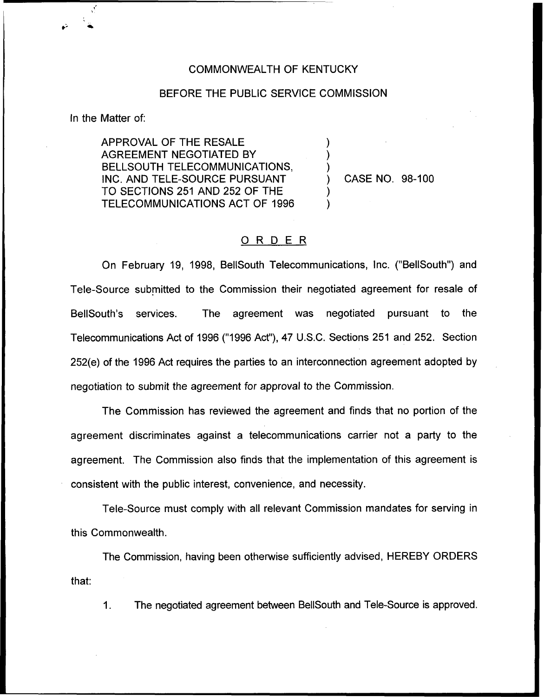## COMMONWEALTH OF KENTUCKY

## BEFORE THE PUBLIC SERVICE COMMISSION

) ) )

) )

In the Matter of:

APPROVAL OF THE RESALE AGREEMENT NEGOTIATED BY BELLSOUTH TELECOMMUNICATIONS, INC. AND TELE-SOURCE PURSUANT TO SECTIONS 251 AND 252 OF THE TELECOMMUNICATIONS ACT OF 1996

) CASE NO. 98-100

## ORDER

On February 19, 1998, BellSouth Telecommunications, Inc. ("BellSouth") and Tele-Source submitted to the Commission their negotiated agreement for resale of BellSouth's services. The agreement was negotiated pursuant to the Telecommunications Act of 1996 ("1996Act"), 47 U.S.C. Sections 251 and 252. Section 252(e) of the 1996 Act requires the parties to an interconnection agreement adopted by negotiation to submit the agreement for approval to the Commission.

The Commission has reviewed the agreement and finds that no portion of the agreement discriminates against a telecommunications carrier not a party to the agreement. The Commission also finds that the implementation of this agreement is consistent with the public interest, convenience, and necessity.

Tele-Source must comply with all relevant Commission mandates for serving in this Commonwealth.

The Commission, having been otherwise sufficiently advised, HEREBY ORDERS that:

1. The negotiated agreement between BellSouth and Tele-Source is approved.